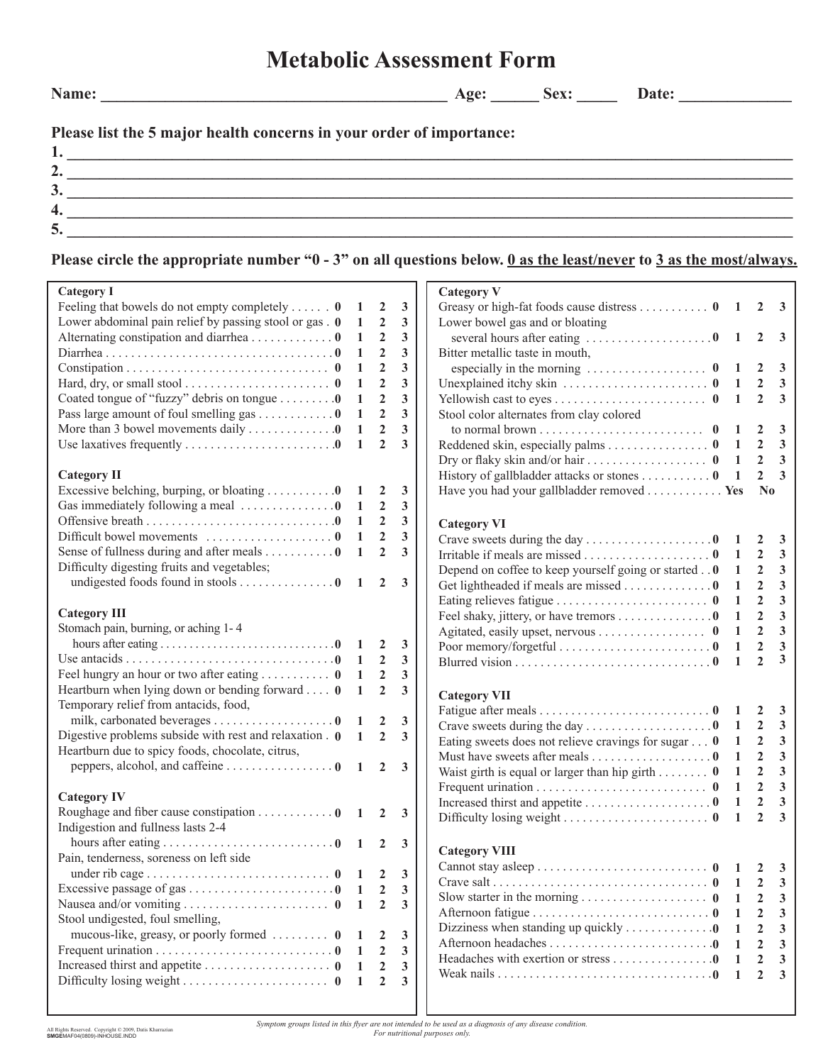## **Metabolic Assessment Form**

**Name: \_\_\_\_\_\_\_\_\_\_\_\_\_\_\_\_\_\_\_\_\_\_\_\_\_\_\_\_\_\_\_\_\_\_\_\_\_\_\_\_\_\_\_ Age: \_\_\_\_\_\_ Sex: \_\_\_\_\_ Date: \_\_\_\_\_\_\_\_\_\_\_\_\_\_** 

**Please list the 5 major health concerns in your order of importance:**

| <u>. .</u> |  |
|------------|--|
| ، پ        |  |
|            |  |
|            |  |

## **Please circle the appropriate number "0 - 3" on all questions below. 0 as the least/never to 3 as the most/always.**

| <b>Category I</b>                                                                 |                |                |              | <b>Category V</b>                                                  |                |                |                                |
|-----------------------------------------------------------------------------------|----------------|----------------|--------------|--------------------------------------------------------------------|----------------|----------------|--------------------------------|
| Feeling that bowels do not empty completely $\mathbf{0}$                          | -1             | $\overline{2}$ | 3            | Greasy or high-fat foods cause distress 0 1 2 3                    |                |                |                                |
| Lower abdominal pain relief by passing stool or gas . 0                           | $\mathbf{1}$   | $\overline{2}$ | 3            | Lower bowel gas and or bloating                                    |                |                |                                |
| Alternating constipation and diarrhea 0                                           | $\mathbf{1}$   | $\mathbf{2}$   | 3            |                                                                    |                | $\overline{2}$ | $\overline{\mathbf{3}}$        |
|                                                                                   | -1             | $\overline{2}$ | 3            | Bitter metallic taste in mouth,                                    |                |                |                                |
|                                                                                   | 1              | $\overline{2}$ | 3            |                                                                    |                | $\mathbf{2}$   | $\mathbf{3}$                   |
| Hard, dry, or small stool $\dots \dots \dots \dots \dots \dots \dots \dots \dots$ | 1              | $\overline{2}$ | 3            |                                                                    |                | $\overline{2}$ | $\overline{\mathbf{3}}$        |
| Coated tongue of "fuzzy" debris on tongue 0                                       | -1             | $\overline{2}$ | 3            |                                                                    |                | $\overline{2}$ | $\overline{\mathbf{3}}$        |
| Pass large amount of foul smelling gas 0                                          | 1              | $\overline{2}$ | 3            | Stool color alternates from clay colored                           |                |                |                                |
| More than 3 bowel movements daily 0                                               | 1              | $\overline{2}$ | 3            |                                                                    |                | 2              | 3                              |
| Use laxatives frequently $\dots \dots \dots \dots \dots \dots \dots \dots \dots$  |                | $\overline{2}$ | 3            | Reddened skin, especially palms 0 $1$                              |                | $\overline{2}$ | $\mathbf{3}$                   |
|                                                                                   |                |                |              |                                                                    |                | $\overline{2}$ | $\overline{\mathbf{3}}$        |
| <b>Category II</b>                                                                |                |                |              | History of gallbladder attacks or stones 0 1                       |                | $\overline{2}$ | $\overline{\mathbf{3}}$        |
| Excessive belching, burping, or bloating $\dots \dots \dots 0$ 1                  |                | $\overline{2}$ | 3            | Have you had your gallbladder removed Yes                          |                | N <sub>0</sub> |                                |
| Gas immediately following a meal $\dots \dots \dots \dots 0$ 1                    |                | $\overline{2}$ | 3            |                                                                    |                |                |                                |
|                                                                                   | $\mathbf{1}$   | $\overline{2}$ | $\mathbf{3}$ |                                                                    |                |                |                                |
|                                                                                   | $\mathbf{1}$   | $\overline{2}$ | $\mathbf{3}$ | <b>Category VI</b>                                                 |                |                |                                |
| Sense of fullness during and after meals $\dots \dots \dots 0$ 1                  |                | $\overline{2}$ | $\mathbf{3}$ |                                                                    |                | 2              | $\mathbf{3}$<br>$\overline{3}$ |
| Difficulty digesting fruits and vegetables;                                       |                |                |              |                                                                    |                | $\overline{2}$ |                                |
|                                                                                   |                |                |              | Depend on coffee to keep yourself going or started 0 1             |                | $\overline{2}$ | $\mathbf{3}$                   |
|                                                                                   |                |                |              | Get lightheaded if meals are missed 0 1                            |                | $\overline{2}$ | $\mathbf{3}$                   |
| <b>Category III</b>                                                               |                |                |              |                                                                    |                | $\overline{2}$ | $\mathbf{3}$                   |
|                                                                                   |                |                |              | Feel shaky, jittery, or have tremors 0                             | $\overline{1}$ | $\overline{2}$ | $\mathbf{3}$                   |
| Stomach pain, burning, or aching 1-4                                              |                |                |              |                                                                    | -1             | $\overline{2}$ | $\mathbf{3}$                   |
|                                                                                   |                |                | $\mathbf{3}$ |                                                                    | 1              | $\overline{2}$ | $\mathbf{3}$                   |
|                                                                                   |                | $\overline{2}$ | $\mathbf{3}$ |                                                                    | 1              | $\overline{2}$ | 3                              |
|                                                                                   | $\overline{1}$ | $\overline{2}$ | $\mathbf{3}$ |                                                                    |                |                |                                |
| Heartburn when lying down or bending forward $\dots$ 0                            | $\overline{1}$ | $\overline{2}$ | 3            | <b>Category VII</b>                                                |                |                |                                |
| Temporary relief from antacids, food,                                             |                |                |              |                                                                    |                | <sup>2</sup>   | $\mathbf{3}$                   |
| milk, carbonated beverages 0 1 2                                                  |                |                | $\mathbf{3}$ |                                                                    |                | $\overline{2}$ | $\mathbf{3}$                   |
| Digestive problems subside with rest and relaxation $.0 \quad 1 \quad 2$          |                |                | $\mathbf{3}$ | Eating sweets does not relieve cravings for sugar $\dots$ 0 1      |                | 2              | $\mathbf{3}$                   |
| Heartburn due to spicy foods, chocolate, citrus,                                  |                |                |              | Must have sweets after meals 0 1                                   |                | $\overline{2}$ | $\mathbf{3}$                   |
| peppers, alcohol, and caffeine 0 $1$                                              |                | $\overline{2}$ | $\mathbf{3}$ | Waist girth is equal or larger than hip girth $0 \quad 1$          |                | $\overline{2}$ | $\mathbf{3}$                   |
|                                                                                   |                |                |              |                                                                    |                | $\overline{2}$ | $\mathbf{3}$                   |
| <b>Category IV</b>                                                                |                |                |              |                                                                    |                | $\overline{2}$ | $\mathbf{3}$                   |
| Roughage and fiber cause constipation $\ldots \ldots \ldots \ldots 0$ 1 2 3       |                |                |              |                                                                    | $\mathbf{1}$   | $\mathbf{2}$   | $\overline{3}$                 |
| Indigestion and fullness lasts 2-4                                                |                |                |              |                                                                    |                |                |                                |
|                                                                                   |                |                |              |                                                                    |                |                |                                |
| Pain, tenderness, soreness on left side                                           |                |                |              | <b>Category VIII</b>                                               |                |                |                                |
|                                                                                   |                |                |              |                                                                    |                |                |                                |
|                                                                                   |                | 2              | 3            |                                                                    |                |                |                                |
|                                                                                   |                | $\overline{2}$ | $\mathbf{3}$ |                                                                    |                | $\overline{2}$ | 3                              |
| Stool undigested, foul smelling,                                                  |                |                |              |                                                                    |                | 2              | 3                              |
| mucous-like, greasy, or poorly formed  0                                          |                | 2              | $\mathbf{3}$ | Dizziness when standing up quickly $\dots \dots \dots \dots \dots$ | -1             | 2              | 3                              |
|                                                                                   |                | $\overline{2}$ | 3            |                                                                    | 1              |                | 3                              |
|                                                                                   | 1              | $\overline{2}$ | 3            | Headaches with exertion or stress 0                                | $\mathbf{1}$   |                | 3                              |
|                                                                                   |                | $\overline{2}$ |              |                                                                    | $\blacksquare$ | $\mathfrak{D}$ | 3                              |
|                                                                                   | -1             |                | 3            |                                                                    |                |                |                                |
|                                                                                   |                |                |              |                                                                    |                |                |                                |

*Symptom groups listed in this flyer are not intended to be used as a diagnosis of any disease condition. For nutritional purposes only.*